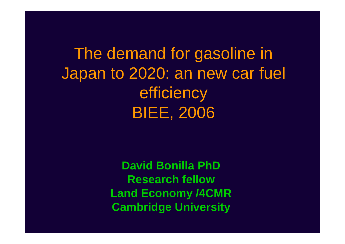The demand for gasoline in Japan to 2020: an new car fuel efficiency BIEE, 2006

> **David Bonilla PhD Research fellow Land Economy /4CMR Cambridge University**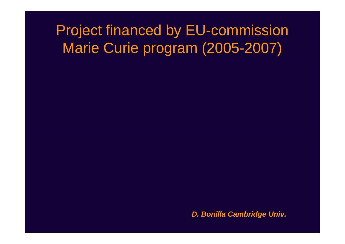# Project financed by EU-commission Marie Curie program (2005-2007)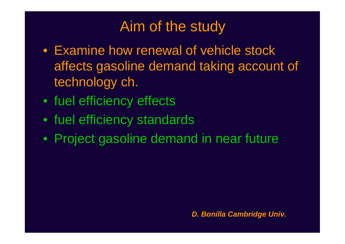# Aim of the study

- Examine how renewal of vehicle stock affects gasoline demand taking account of technology ch.
- fuel efficiency effects
- fuel efficiency standards
- Project gasoline demand in near future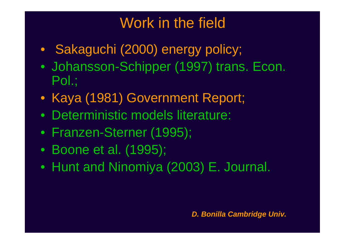# Work in the field

- Sakaguchi (2000) energy policy;
- Johansson-Schipper (1997) trans. Econ. Pol.;
- Kaya (1981) Government Report;
- Deterministic models literature:
- Franzen-Sterner (1995);
- Boone et al. (1995);
- Hunt and Ninomiya (2003) E. Journal.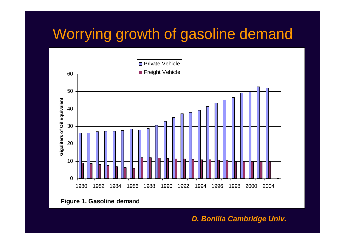# Worrying growth of gasoline demand



**Figure 1. Gasoline demand**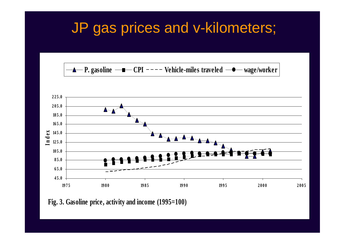# JP gas prices and v-kilometers;





**Fig. 3. Gasoline price, activity and income (1995=100)**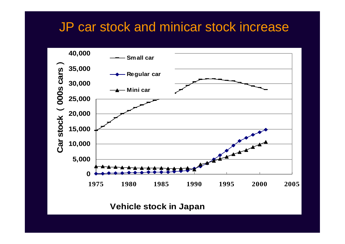### JP car stock and minicar stock increase



**Vehicle stock in Japan**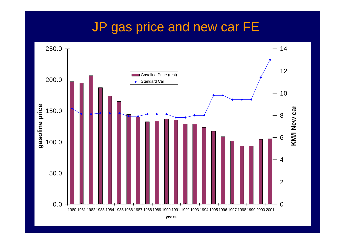#### JP gas price and new car FE

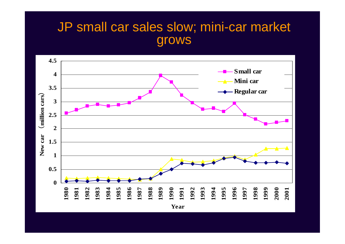#### JP small car sales slow; mini-car market grows

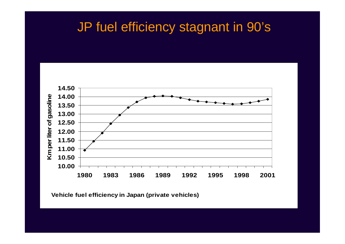#### JP fuel efficiency stagnant in 90's



**Vehicle fuel efficiency in Japan (private vehicles)**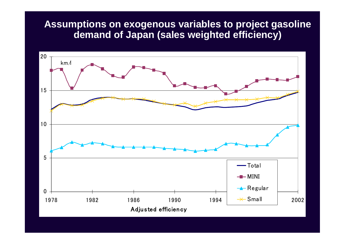#### **Assumptions on exogenous variables to project gasoline demand of Japan (sales weighted efficiency)**

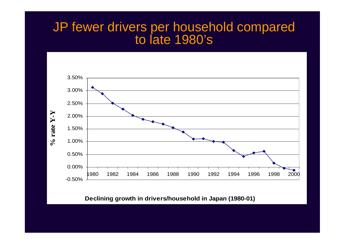#### JP fewer drivers per household compared to late 1980's



#### **Declining growth in drivers/household in Japan (1980-01)**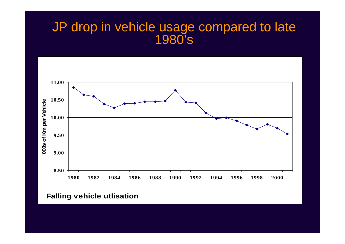#### JP drop in vehicle usage compared to late 1980's



**Falling vehicle utlisation**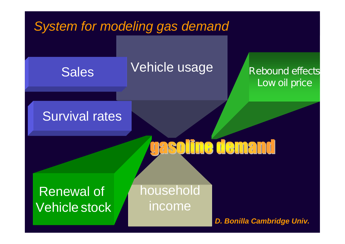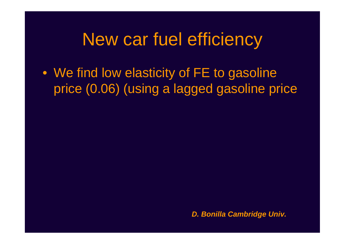# New car fuel efficiency

• We find low elasticity of FE to gasoline price (0.06) (using a lagged gasoline price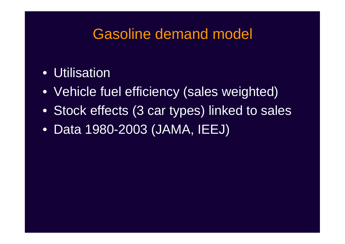# Gasoline demand model

### • Utilisation

- Vehicle fuel efficiency (sales weighted)
- Stock effects (3 car types) linked to sales
- Data 1980-2003 (JAMA, IEEJ)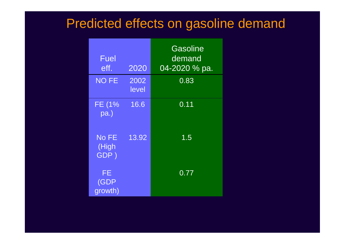## Predicted effects on gasoline demand

| Fuel<br>eff.           | 2020          | Gasoline<br>demand<br>04-2020 % pa. |
|------------------------|---------------|-------------------------------------|
| <b>NO FE</b>           | 2002<br>level | 0.83                                |
| FE (1%<br>pa.)         | 16.6          | 0.11                                |
| No FE<br>(High<br>GDP) | 13.92         | $1.\overline{5}$                    |
| FE<br>(GDP<br>growth)  |               | 0.77                                |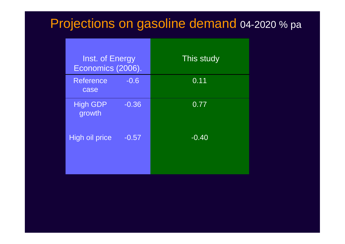# Projections on gasoline demand 04-2020 % pa

| This study |
|------------|
| 0.11       |
| 0.77       |
| $-0.40$    |
|            |